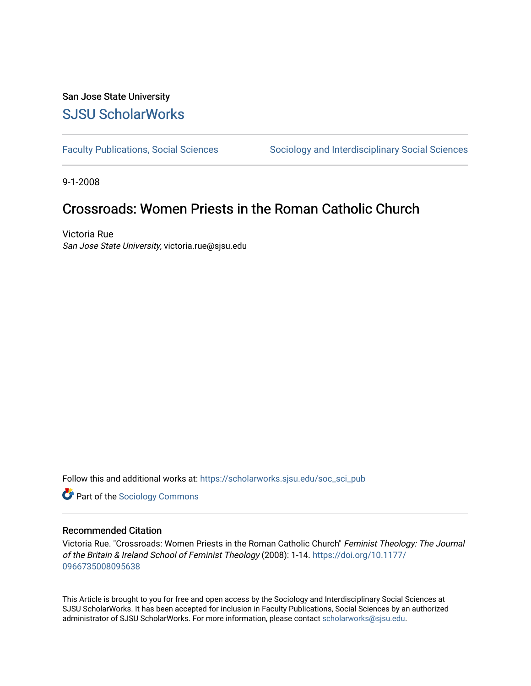# San Jose State University [SJSU ScholarWorks](https://scholarworks.sjsu.edu/)

[Faculty Publications, Social Sciences](https://scholarworks.sjsu.edu/soc_sci_pub) Sociology and Interdisciplinary Social Sciences

9-1-2008

# Crossroads: Women Priests in the Roman Catholic Church

Victoria Rue San Jose State University, victoria.rue@sjsu.edu

Follow this and additional works at: [https://scholarworks.sjsu.edu/soc\\_sci\\_pub](https://scholarworks.sjsu.edu/soc_sci_pub?utm_source=scholarworks.sjsu.edu%2Fsoc_sci_pub%2F3&utm_medium=PDF&utm_campaign=PDFCoverPages) 

**Part of the [Sociology Commons](http://network.bepress.com/hgg/discipline/416?utm_source=scholarworks.sjsu.edu%2Fsoc_sci_pub%2F3&utm_medium=PDF&utm_campaign=PDFCoverPages)** 

#### Recommended Citation

Victoria Rue. "Crossroads: Women Priests in the Roman Catholic Church" Feminist Theology: The Journal of the Britain & Ireland School of Feminist Theology (2008): 1-14. [https://doi.org/10.1177/](https://doi.org/10.1177/0966735008095638) [0966735008095638](https://doi.org/10.1177/0966735008095638) 

This Article is brought to you for free and open access by the Sociology and Interdisciplinary Social Sciences at SJSU ScholarWorks. It has been accepted for inclusion in Faculty Publications, Social Sciences by an authorized administrator of SJSU ScholarWorks. For more information, please contact [scholarworks@sjsu.edu](mailto:scholarworks@sjsu.edu).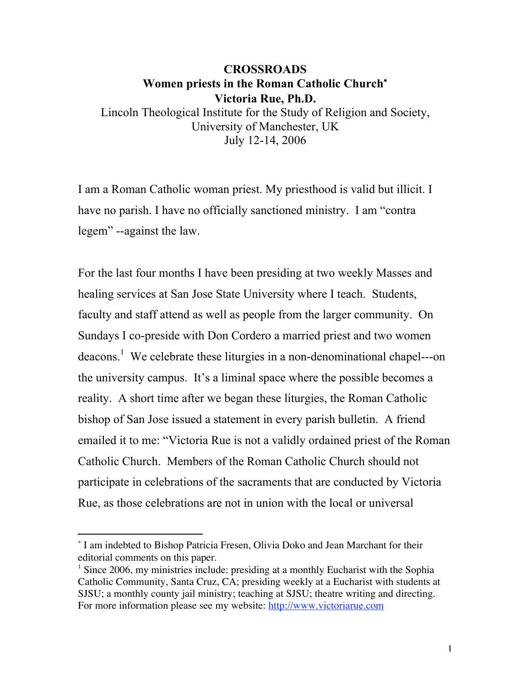# **CROSSROADS Women priests in the Roman Catholic Church**∗ **Victoria Rue, Ph.D.**

Lincoln Theological Institute for the Study of Religion and Society, University of Manchester, UK July 12-14, 2006

I am a Roman Catholic woman priest. My priesthood is valid but illicit. I have no parish. I have no officially sanctioned ministry. I am "contra legem" --against the law.

For the last four months I have been presiding at two weekly Masses and healing services at San Jose State University where I teach. Students, faculty and staff attend as well as people from the larger community. On Sundays I co-preside with Don Cordero a married priest and two women deacons.<sup>1</sup> We celebrate these liturgies in a non-denominational chapel---on the university campus. It's a liminal space where the possible becomes a reality. A short time after we began these liturgies, the Roman Catholic bishop of San Jose issued a statement in every parish bulletin. A friend emailed it to me: "Victoria Rue is not a validly ordained priest of the Roman Catholic Church. Members of the Roman Catholic Church should not participate in celebrations of the sacraments that are conducted by Victoria Rue, as those celebrations are not in union with the local or universal

<sup>∗</sup> I am indebted to Bishop Patricia Fresen, Olivia Doko and Jean Marchant for their editorial comments on this paper.

 $1$  Since 2006, my ministries include: presiding at a monthly Eucharist with the Sophia Catholic Community, Santa Cruz, CA; presiding weekly at a Eucharist with students at SJSU; a monthly county jail ministry; teaching at SJSU; theatre writing and directing. For more information please see my website: http://www.victoriarue.com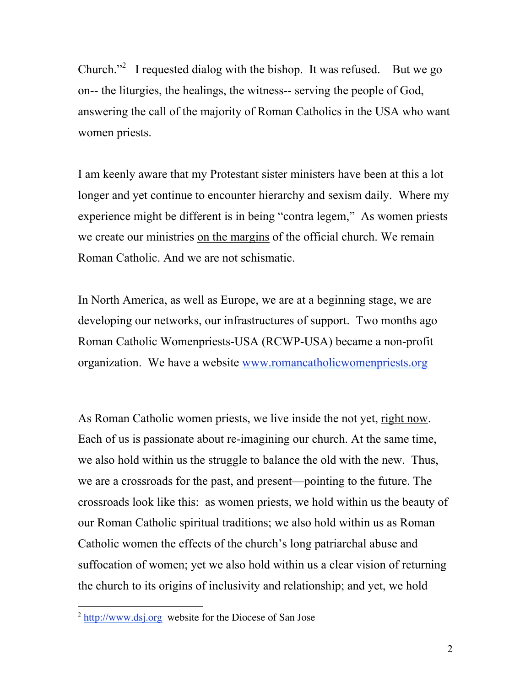Church."<sup>2</sup> I requested dialog with the bishop. It was refused. But we go on-- the liturgies, the healings, the witness-- serving the people of God, answering the call of the majority of Roman Catholics in the USA who want women priests.

I am keenly aware that my Protestant sister ministers have been at this a lot longer and yet continue to encounter hierarchy and sexism daily. Where my experience might be different is in being "contra legem," As women priests we create our ministries on the margins of the official church. We remain Roman Catholic. And we are not schismatic.

In North America, as well as Europe, we are at a beginning stage, we are developing our networks, our infrastructures of support. Two months ago Roman Catholic Womenpriests-USA (RCWP-USA) became a non-profit organization. We have a website www.romancatholicwomenpriests.org

As Roman Catholic women priests, we live inside the not yet, right now. Each of us is passionate about re-imagining our church. At the same time, we also hold within us the struggle to balance the old with the new. Thus, we are a crossroads for the past, and present—pointing to the future. The crossroads look like this: as women priests, we hold within us the beauty of our Roman Catholic spiritual traditions; we also hold within us as Roman Catholic women the effects of the church's long patriarchal abuse and suffocation of women; yet we also hold within us a clear vision of returning the church to its origins of inclusivity and relationship; and yet, we hold

<sup>&</sup>lt;sup>2</sup> http://www.dsj.org website for the Diocese of San Jose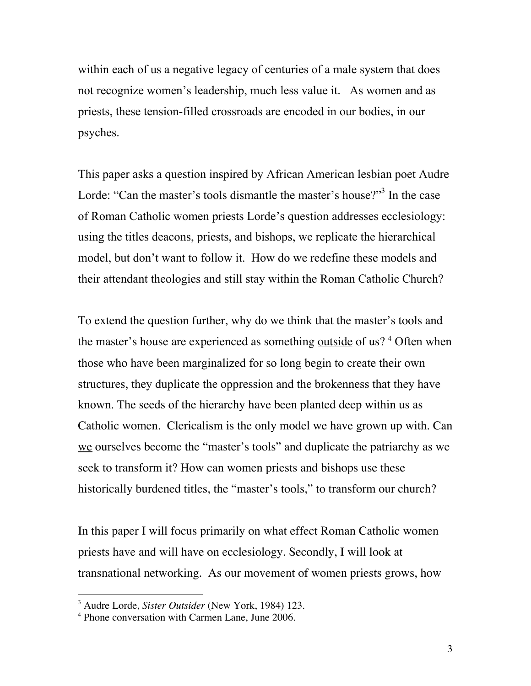within each of us a negative legacy of centuries of a male system that does not recognize women's leadership, much less value it. As women and as priests, these tension-filled crossroads are encoded in our bodies, in our psyches.

This paper asks a question inspired by African American lesbian poet Audre Lorde: "Can the master's tools dismantle the master's house?"<sup>3</sup> In the case of Roman Catholic women priests Lorde's question addresses ecclesiology: using the titles deacons, priests, and bishops, we replicate the hierarchical model, but don't want to follow it. How do we redefine these models and their attendant theologies and still stay within the Roman Catholic Church?

the master's house are experienced as something **outside** of us?<sup>4</sup> Often when To extend the question further, why do we think that the master's tools and those who have been marginalized for so long begin to create their own structures, they duplicate the oppression and the brokenness that they have known. The seeds of the hierarchy have been planted deep within us as Catholic women. Clericalism is the only model we have grown up with. Can we ourselves become the "master's tools" and duplicate the patriarchy as we seek to transform it? How can women priests and bishops use these

historically burdened titles, the "master's tools," to transform our church?<br>In this paper I will focus primarily on what effect Roman Catholic women priests have and will have on ecclesiology. Secondly, I will look at transnational networking. As our movement of women priests grows, how

<sup>&</sup>lt;sup>3</sup> Audre Lorde, *Sister Outsider* (New York, 1984) 123.

<sup>4</sup> Phone conversation with Carmen Lane, June 2006.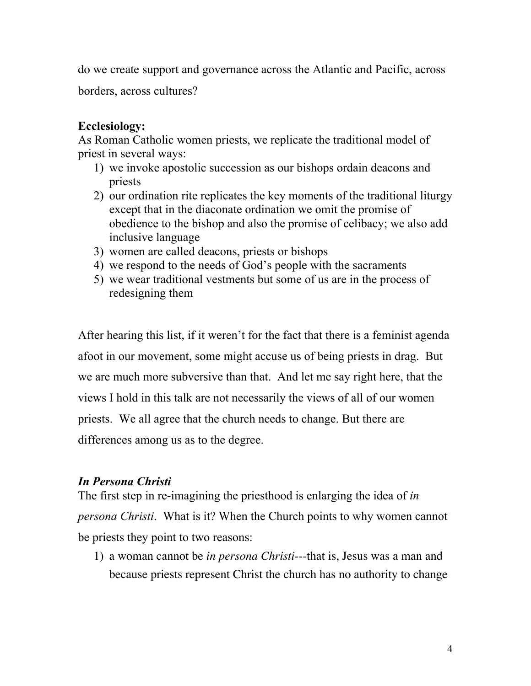do we create support and governance across the Atlantic and Pacific, across

borders, across cultures?

### **Ecclesiology:**

As Roman Catholic women priests, we replicate the traditional model of priest in several ways:

- 1) we invoke apostolic succession as our bishops ordain deacons and priests
- 2) our ordination rite replicates the key moments of the traditional liturgy except that in the diaconate ordination we omit the promise of obedience to the bishop and also the promise of celibacy; we also add inclusive language
- 3) women are called deacons, priests or bishops
- 4) we respond to the needs of God's people with the sacraments
- 5) we wear traditional vestments but some of us are in the process of redesigning them

After hearing this list, if it weren't for the fact that there is a feminist agenda afoot in our movement, some might accuse us of being priests in drag. But we are much more subversive than that. And let me say right here, that the views I hold in this talk are not necessarily the views of all of our women priests. We all agree that the church needs to change. But there are differences among us as to the degree.

### *In Persona Christi*

The first step in re-imagining the priesthood is enlarging the idea of *in persona Christi*. What is it? When the Church points to why women cannot be priests they point to two reasons:

1) a woman cannot be *in persona Christi*---that is, Jesus was a man and because priests represent Christ the church has no authority to change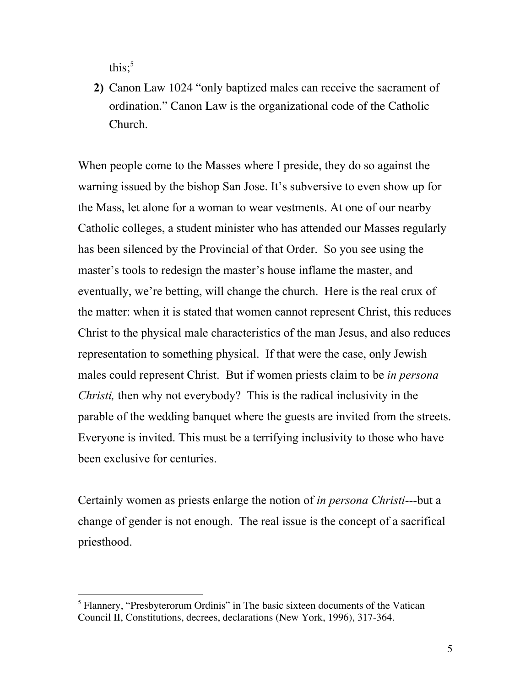this; $5$ 

 $\overline{a}$ 

**2)** Canon Law 1024 "only baptized males can receive the sacrament of ordination." Canon Law is the organizational code of the Catholic Church.

**been exclusive for centuries** When people come to the Masses where I preside, they do so against the warning issued by the bishop San Jose. It's subversive to even show up for the Mass, let alone for a woman to wear vestments. At one of our nearby Catholic colleges, a student minister who has attended our Masses regularly has been silenced by the Provincial of that Order. So you see using the master's tools to redesign the master's house inflame the master, and eventually, we're betting, will change the church. Here is the real crux of the matter: when it is stated that women cannot represent Christ, this reduces Christ to the physical male characteristics of the man Jesus, and also reduces representation to something physical. If that were the case, only Jewish males could represent Christ. But if women priests claim to be *in persona Christi,* then why not everybody? This is the radical inclusivity in the parable of the wedding banquet where the guests are invited from the streets. Everyone is invited. This must be a terrifying inclusivity to those who have

Certainly women as priests enlarge the notion of *in persona Christi*---but a change of gender is not enough. The real issue is the concept of a sacrifical priesthood.

<sup>&</sup>lt;sup>5</sup> Flannery, "Presbyterorum Ordinis" in The basic sixteen documents of the Vatican Council II, Constitutions, decrees, declarations (New York, 1996), 317-364.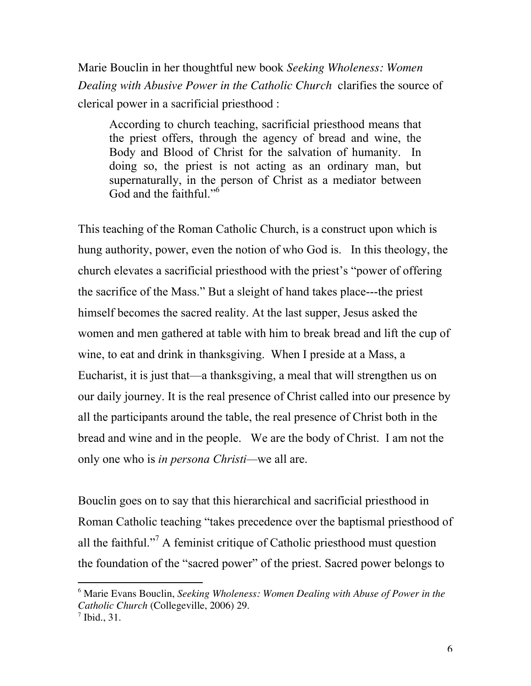Marie Bouclin in her thoughtful new book *Seeking Wholeness: Women Dealing with Abusive Power in the Catholic Church* clarifies the source of clerical power in a sacrificial priesthood :

According to church teaching, sacrificial priesthood means that the priest offers, through the agency of bread and wine, the Body and Blood of Christ for the salvation of humanity. In doing so, the priest is not acting as an ordinary man, but supernaturally, in the person of Christ as a mediator between God and the faithful."<sup>6</sup>

This teaching of the Roman Catholic Church, is a construct upon which is hung authority, power, even the notion of who God is. In this theology, the church elevates a sacrificial priesthood with the priest's "power of offering the sacrifice of the Mass." But a sleight of hand takes place---the priest himself becomes the sacred reality. At the last supper, Jesus asked the women and men gathered at table with him to break bread and lift the cup of wine, to eat and drink in thanksgiving. When I preside at a Mass, a Eucharist, it is just that—a thanksgiving, a meal that will strengthen us on our daily journey. It is the real presence of Christ called into our presence by all the participants around the table, the real presence of Christ both in the bread and wine and in the people. We are the body of Christ. I am not the only one who is *in persona Christi—*we all are.

Bouclin goes on to say that this hierarchical and sacrificial priesthood in Roman Catholic teaching "takes precedence over the baptismal priesthood of all the faithful."<sup>7</sup> A feminist critique of Catholic priesthood must question the foundation of the "sacred power" of the priest. Sacred power belongs to

<sup>6</sup> Marie Evans Bouclin, *Seeking Wholeness: Women Dealing with Abuse of Power in the Catholic Church* (Collegeville, 2006) 29.

<sup>7</sup> Ibid., 31.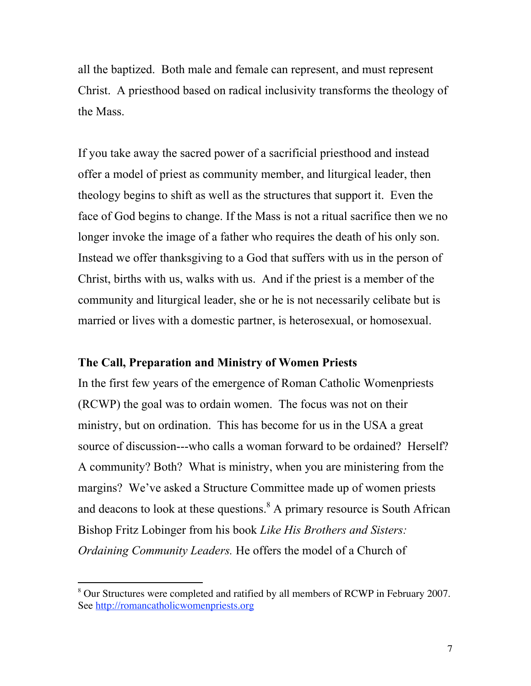all the baptized. Both male and female can represent, and must represent Christ. A priesthood based on radical inclusivity transforms the theology of the Mass.

If you take away the sacred power of a sacrificial priesthood and instead offer a model of priest as community member, and liturgical leader, then theology begins to shift as well as the structures that support it. Even the face of God begins to change. If the Mass is not a ritual sacrifice then we no longer invoke the image of a father who requires the death of his only son. Instead we offer thanksgiving to a God that suffers with us in the person of Christ, births with us, walks with us. And if the priest is a member of the community and liturgical leader, she or he is not necessarily celibate but is married or lives with a domestic partner, is heterosexual, or homosexual.

### **The Call, Preparation and Ministry of Women Priests**

 $\overline{a}$ 

In the first few years of the emergence of Roman Catholic Womenpriests (RCWP) the goal was to ordain women. The focus was not on their ministry, but on ordination. This has become for us in the USA a great source of discussion---who calls a woman forward to be ordained? Herself? A community? Both? What is ministry, when you are ministering from the margins? We've asked a Structure Committee made up of women priests and deacons to look at these questions. $8$  A primary resource is South African Bishop Fritz Lobinger from his book *Like His Brothers and Sisters: Ordaining Community Leaders.* He offers the model of a Church of

<sup>&</sup>lt;sup>8</sup> Our Structures were completed and ratified by all members of RCWP in February 2007. See http://romancatholicwomenpriests.org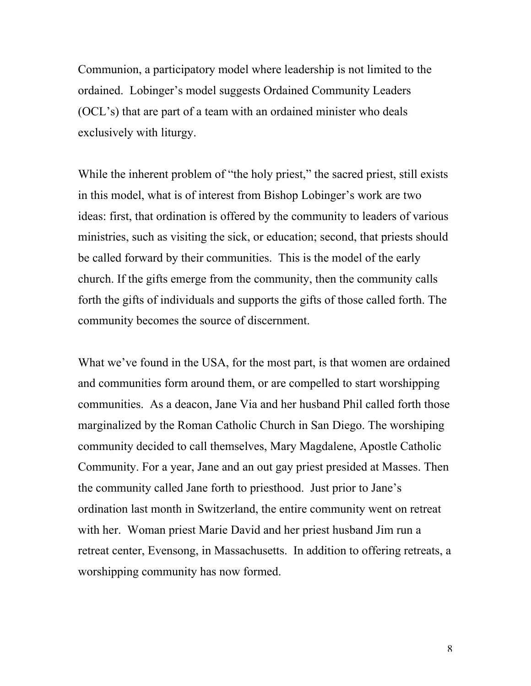Communion, a participatory model where leadership is not limited to the ordained. Lobinger's model suggests Ordained Community Leaders (OCL's) that are part of a team with an ordained minister who deals exclusively with liturgy.

While the inherent problem of "the holy priest," the sacred priest, still exists in this model, what is of interest from Bishop Lobinger's work are two ideas: first, that ordination is offered by the community to leaders of various ministries, such as visiting the sick, or education; second, that priests should be called forward by their communities. This is the model of the early church. If the gifts emerge from the community, then the community calls forth the gifts of individuals and supports the gifts of those called forth. The community becomes the source of discernment.

What we've found in the USA, for the most part, is that women are ordained and communities form around them, or are compelled to start worshipping communities. As a deacon, Jane Via and her husband Phil called forth those marginalized by the Roman Catholic Church in San Diego. The worshiping community decided to call themselves, Mary Magdalene, Apostle Catholic Community. For a year, Jane and an out gay priest presided at Masses. Then the community called Jane forth to priesthood. Just prior to Jane's ordination last month in Switzerland, the entire community went on retreat with her. Woman priest Marie David and her priest husband Jim run a retreat center, Evensong, in Massachusetts. In addition to offering retreats, a worshipping community has now formed.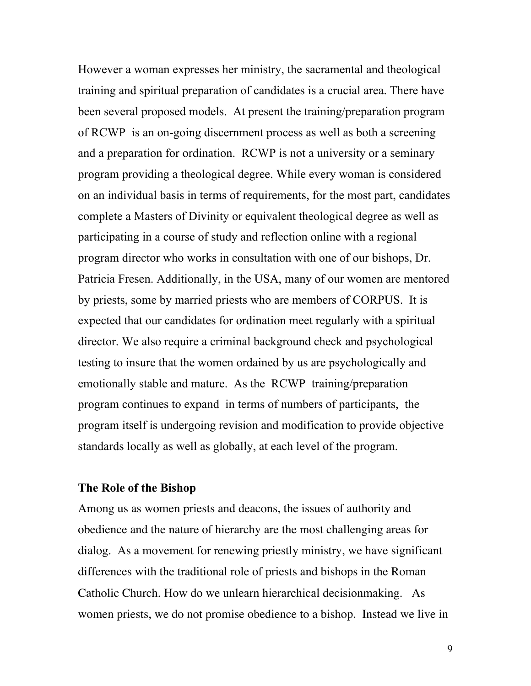However a woman expresses her ministry, the sacramental and theological training and spiritual preparation of candidates is a crucial area. There have been several proposed models. At present the training/preparation program of RCWP is an on-going discernment process as well as both a screening and a preparation for ordination. RCWP is not a university or a seminary program providing a theological degree. While every woman is considered on an individual basis in terms of requirements, for the most part, candidates complete a Masters of Divinity or equivalent theological degree as well as participating in a course of study and reflection online with a regional program director who works in consultation with one of our bishops, Dr. Patricia Fresen. Additionally, in the USA, many of our women are mentored by priests, some by married priests who are members of CORPUS. It is expected that our candidates for ordination meet regularly with a spiritual director. We also require a criminal background check and psychological testing to insure that the women ordained by us are psychologically and emotionally stable and mature. As the RCWP training/preparation program continues to expand in terms of numbers of participants, the program itself is undergoing revision and modification to provide objective standards locally as well as globally, at each level of the program.

#### **The Role of the Bishop**

Among us as women priests and deacons, the issues of authority and obedience and the nature of hierarchy are the most challenging areas for dialog. As a movement for renewing priestly ministry, we have significant differences with the traditional role of priests and bishops in the Roman Catholic Church. How do we unlearn hierarchical decisionmaking. As women priests, we do not promise obedience to a bishop. Instead we live in

9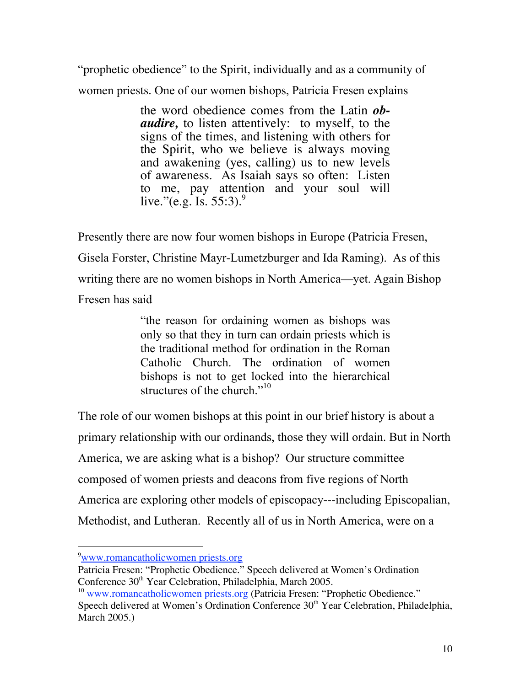"prophetic obedience" to the Spirit, individually and as a community of women priests. One of our women bishops, Patricia Fresen explains

> live."(e.g. Is. 55:3). $^{9}$ the word obedience comes from the Latin *obaudire,* to listen attentively: to myself, to the signs of the times, and listening with others for the Spirit, who we believe is always moving and awakening (yes, calling) us to new levels of awareness. As Isaiah says so often: Listen to me, pay attention and your soul will

Presently there are now four women bishops in Europe (Patricia Fresen, Gisela Forster, Christine Mayr-Lumetzburger and Ida Raming). As of this writing there are no women bishops in North America—yet. Again Bishop Fresen has said

> structures of the church."<sup>10</sup> "the reason for ordaining women as bishops was only so that they in turn can ordain priests which is the traditional method for ordination in the Roman Catholic Church. The ordination of women bishops is not to get locked into the hierarchical

The role of our women bishops at this point in our brief history is about a primary relationship with our ordinands, those they will ordain. But in North America, we are asking what is a bishop? Our structure committee composed of women priests and deacons from five regions of North America are exploring other models of episcopacy---including Episcopalian, Methodist, and Lutheran. Recently all of us in North America, were on a

 $\overline{a}$ **WWW.romancatholicwomen priests.org** 

Patricia Fresen: "Prophetic Obedience." Speech delivered at Women's Ordination Conference 30<sup>th</sup> Year Celebration, Philadelphia, March 2005.

<sup>&</sup>lt;sup>10</sup> www.romancatholicwomen priests.org (Patricia Fresen: "Prophetic Obedience." Speech delivered at Women's Ordination Conference 30<sup>th</sup> Year Celebration, Philadelphia, March 2005.)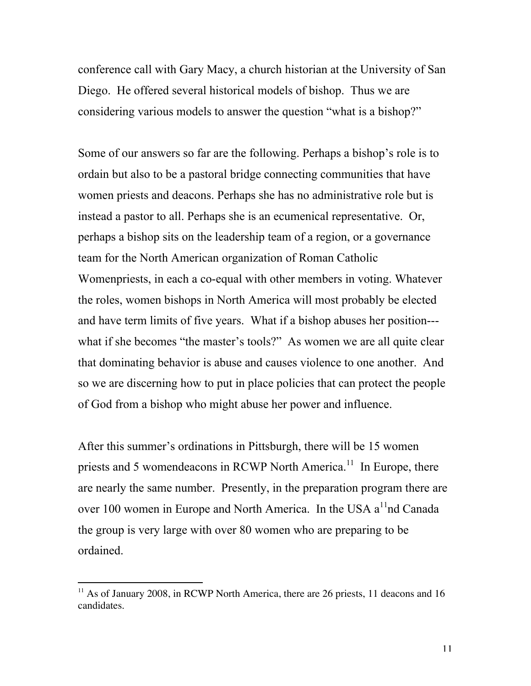conference call with Gary Macy, a church historian at the University of San Diego. He offered several historical models of bishop. Thus we are considering various models to answer the question "what is a bishop?"

Some of our answers so far are the following. Perhaps a bishop's role is to ordain but also to be a pastoral bridge connecting communities that have women priests and deacons. Perhaps she has no administrative role but is instead a pastor to all. Perhaps she is an ecumenical representative. Or, perhaps a bishop sits on the leadership team of a region, or a governance team for the North American organization of Roman Catholic Womenpriests, in each a co-equal with other members in voting. Whatever the roles, women bishops in North America will most probably be elected and have term limits of five years. What if a bishop abuses her position-- what if she becomes "the master's tools?" As women we are all quite clear that dominating behavior is abuse and causes violence to one another. And so we are discerning how to put in place policies that can protect the people of God from a bishop who might abuse her power and influence.

After this summer's ordinations in Pittsburgh, there will be 15 women priests and 5 womendeacons in RCWP North America.<sup>11</sup> In Europe, there are nearly the same number. Presently, in the preparation program there are over 100 women in Europe and North America. In the USA  $a<sup>11</sup>$ nd Canada the group is very large with over 80 women who are preparing to be ordained.

 $11$  As of January 2008, in RCWP North America, there are 26 priests, 11 deacons and 16 candidates.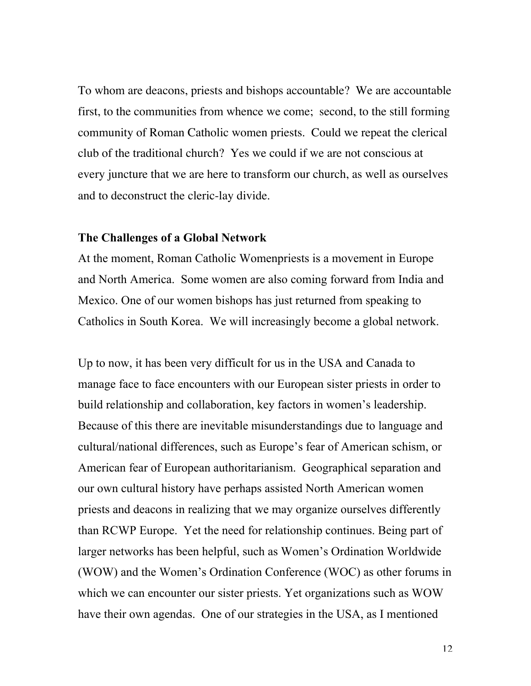To whom are deacons, priests and bishops accountable? We are accountable first, to the communities from whence we come; second, to the still forming community of Roman Catholic women priests. Could we repeat the clerical club of the traditional church? Yes we could if we are not conscious at every juncture that we are here to transform our church, as well as ourselves and to deconstruct the cleric-lay divide.

#### **The Challenges of a Global Network**

At the moment, Roman Catholic Womenpriests is a movement in Europe and North America. Some women are also coming forward from India and Mexico. One of our women bishops has just returned from speaking to Catholics in South Korea. We will increasingly become a global network.

Up to now, it has been very difficult for us in the USA and Canada to manage face to face encounters with our European sister priests in order to build relationship and collaboration, key factors in women's leadership. Because of this there are inevitable misunderstandings due to language and cultural/national differences, such as Europe's fear of American schism, or American fear of European authoritarianism. Geographical separation and our own cultural history have perhaps assisted North American women priests and deacons in realizing that we may organize ourselves differently than RCWP Europe. Yet the need for relationship continues. Being part of larger networks has been helpful, such as Women's Ordination Worldwide (WOW) and the Women's Ordination Conference (WOC) as other forums in which we can encounter our sister priests. Yet organizations such as WOW have their own agendas. One of our strategies in the USA, as I mentioned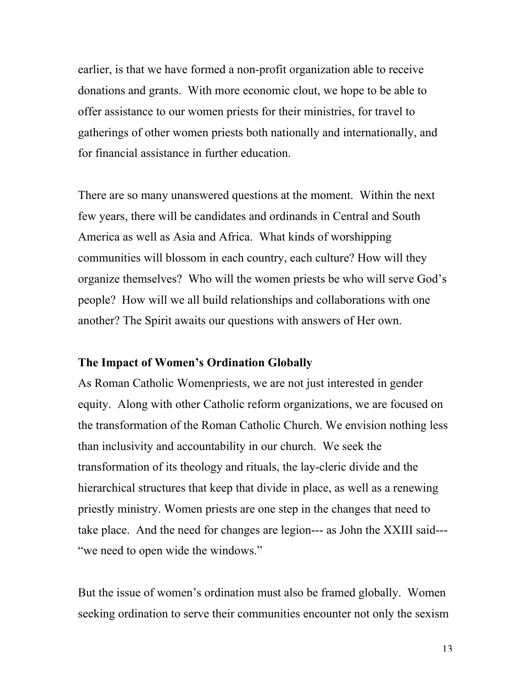earlier, is that we have formed a non-profit organization able to receive donations and grants. With more economic clout, we hope to be able to offer assistance to our women priests for their ministries, for travel to gatherings of other women priests both nationally and internationally, and for financial assistance in further education.

There are so many unanswered questions at the moment. Within the next few years, there will be candidates and ordinands in Central and South America as well as Asia and Africa. What kinds of worshipping communities will blossom in each country, each culture? How will they organize themselves? Who will the women priests be who will serve God's people? How will we all build relationships and collaborations with one another? The Spirit awaits our questions with answers of Her own.

### **The Impact of Women's Ordination Globally**

As Roman Catholic Womenpriests, we are not just interested in gender equity. Along with other Catholic reform organizations, we are focused on the transformation of the Roman Catholic Church. We envision nothing less than inclusivity and accountability in our church. We seek the transformation of its theology and rituals, the lay-cleric divide and the hierarchical structures that keep that divide in place, as well as a renewing priestly ministry. Women priests are one step in the changes that need to take place. And the need for changes are legion--- as John the XXIII said--- "we need to open wide the windows."

But the issue of women's ordination must also be framed globally. Women seeking ordination to serve their communities encounter not only the sexism